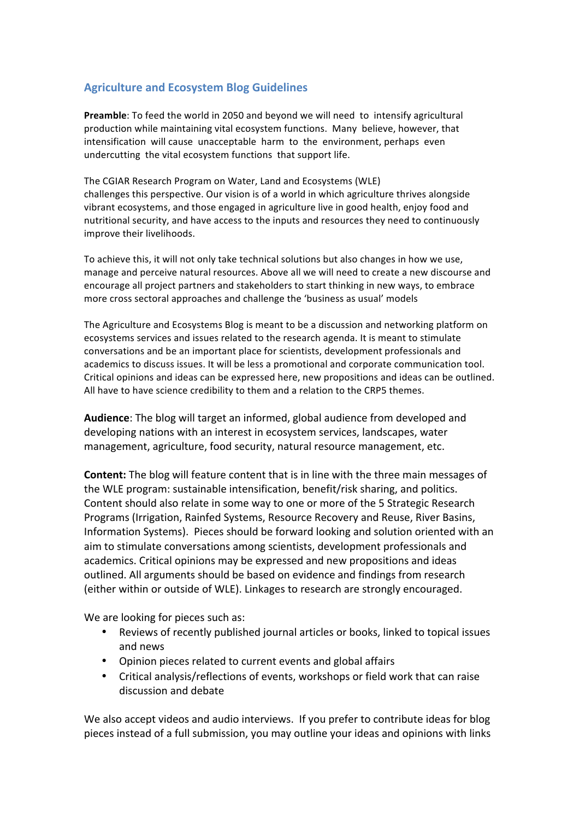## **Agriculture and Ecosystem Blog Guidelines**

**Preamble:** To feed the world in 2050 and beyond we will need to intensify agricultural production while maintaining vital ecosystem functions. Many believe, however, that intensification will cause unacceptable harm to the environment, perhaps even undercutting the vital ecosystem functions that support life.

The CGIAR Research Program on Water, Land and Ecosystems (WLE) challenges this perspective. Our vision is of a world in which agriculture thrives alongside vibrant ecosystems, and those engaged in agriculture live in good health, enjoy food and nutritional security, and have access to the inputs and resources they need to continuously improve their livelihoods.

To achieve this, it will not only take technical solutions but also changes in how we use, manage and perceive natural resources. Above all we will need to create a new discourse and encourage all project partners and stakeholders to start thinking in new ways, to embrace more cross sectoral approaches and challenge the 'business as usual' models

The Agriculture and Ecosystems Blog is meant to be a discussion and networking platform on ecosystems services and issues related to the research agenda. It is meant to stimulate conversations and be an important place for scientists, development professionals and academics to discuss issues. It will be less a promotional and corporate communication tool. Critical opinions and ideas can be expressed here, new propositions and ideas can be outlined. All have to have science credibility to them and a relation to the CRP5 themes.

**Audience**: The blog will target an informed, global audience from developed and developing nations with an interest in ecosystem services, landscapes, water management, agriculture, food security, natural resource management, etc.

**Content:** The blog will feature content that is in line with the three main messages of the WLE program: sustainable intensification, benefit/risk sharing, and politics. Content should also relate in some way to one or more of the 5 Strategic Research Programs (Irrigation, Rainfed Systems, Resource Recovery and Reuse, River Basins, Information Systems). Pieces should be forward looking and solution oriented with an aim to stimulate conversations among scientists, development professionals and academics. Critical opinions may be expressed and new propositions and ideas outlined. All arguments should be based on evidence and findings from research (either within or outside of WLE). Linkages to research are strongly encouraged.

We are looking for pieces such as:

- Reviews of recently published journal articles or books, linked to topical issues and news
- Opinion pieces related to current events and global affairs
- Critical analysis/reflections of events, workshops or field work that can raise discussion and debate

We also accept videos and audio interviews. If you prefer to contribute ideas for blog pieces instead of a full submission, you may outline your ideas and opinions with links